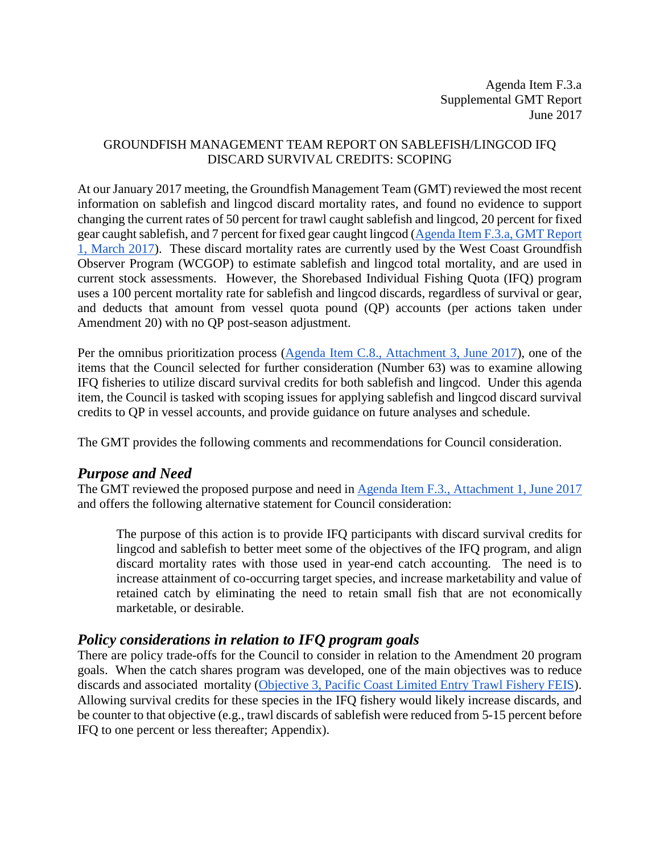Agenda Item F.3.a Supplemental GMT Report June 2017

#### GROUNDFISH MANAGEMENT TEAM REPORT ON SABLEFISH/LINGCOD IFQ DISCARD SURVIVAL CREDITS: SCOPING

At our January 2017 meeting, the Groundfish Management Team (GMT) reviewed the most recent information on sablefish and lingcod discard mortality rates, and found no evidence to support changing the current rates of 50 percent for trawl caught sablefish and lingcod, 20 percent for fixed gear caught sablefish, and 7 percent for fixed gear caught lingcod [\(Agenda Item F.3.a, GMT Report](http://www.pcouncil.org/wp-content/uploads/2017/05/F3a_GMT_Rpt1_DiscardMortality_JUNE2017BB.pdf)  [1, March 2017\)](http://www.pcouncil.org/wp-content/uploads/2017/05/F3a_GMT_Rpt1_DiscardMortality_JUNE2017BB.pdf). These discard mortality rates are currently used by the West Coast Groundfish Observer Program (WCGOP) to estimate sablefish and lingcod total mortality, and are used in current stock assessments. However, the Shorebased Individual Fishing Quota (IFQ) program uses a 100 percent mortality rate for sablefish and lingcod discards, regardless of survival or gear, and deducts that amount from vessel quota pound (QP) accounts (per actions taken under Amendment 20) with no QP post-season adjustment.

Per the omnibus prioritization process [\(Agenda Item C.8., Attachment 3, June 2017\)](http://www.pcouncil.org/wp-content/uploads/2017/05/C8_Att3_GFworkload_JUNE2017BB.pdf), one of the items that the Council selected for further consideration (Number 63) was to examine allowing IFQ fisheries to utilize discard survival credits for both sablefish and lingcod. Under this agenda item, the Council is tasked with scoping issues for applying sablefish and lingcod discard survival credits to QP in vessel accounts, and provide guidance on future analyses and schedule.

The GMT provides the following comments and recommendations for Council consideration.

#### *Purpose and Need*

The GMT reviewed the proposed purpose and need i[n Agenda Item F.3., Attachment 1, June 2017](http://www.pcouncil.org/wp-content/uploads/2017/05/F3_Att1_IFQ_Survival-credit_ScopingJUNE2017BB.pdf) and offers the following alternative statement for Council consideration:

The purpose of this action is to provide IFQ participants with discard survival credits for lingcod and sablefish to better meet some of the objectives of the IFQ program, and align discard mortality rates with those used in year-end catch accounting. The need is to increase attainment of co-occurring target species, and increase marketability and value of retained catch by eliminating the need to retain small fish that are not economically marketable, or desirable.

#### *Policy considerations in relation to IFQ program goals*

There are policy trade-offs for the Council to consider in relation to the Amendment 20 program goals. When the catch shares program was developed, one of the main objectives was to reduce discards and associated mortality [\(Objective 3, Pacific Coast Limited Entry Trawl Fishery FEIS\)](http://www.pcouncil.org/wp-content/uploads/1_Pacific-Coast-Grounddfish-Limited-Entry-Trawl-Fishery-FEIS.pdf). Allowing survival credits for these species in the IFQ fishery would likely increase discards, and be counter to that objective (e.g., trawl discards of sablefish were reduced from 5-15 percent before IFQ to one percent or less thereafter; Appendix).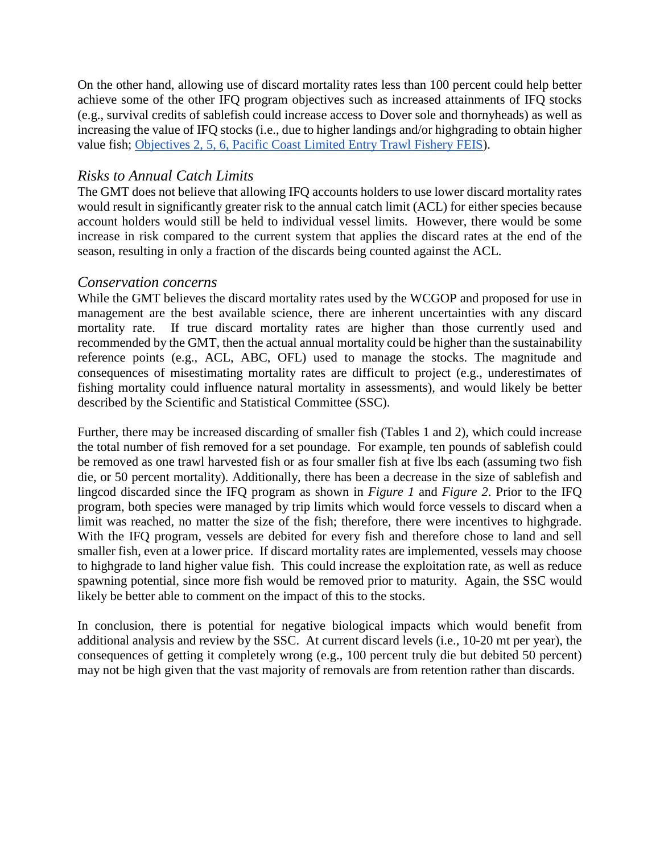On the other hand, allowing use of discard mortality rates less than 100 percent could help better achieve some of the other IFQ program objectives such as increased attainments of IFQ stocks (e.g., survival credits of sablefish could increase access to Dover sole and thornyheads) as well as increasing the value of IFQ stocks (i.e., due to higher landings and/or highgrading to obtain higher value fish; [Objectives 2, 5, 6, Pacific Coast Limited Entry Trawl Fishery FEIS\)](http://www.pcouncil.org/wp-content/uploads/1_Pacific-Coast-Grounddfish-Limited-Entry-Trawl-Fishery-FEIS.pdf).

### *Risks to Annual Catch Limits*

The GMT does not believe that allowing IFQ accounts holders to use lower discard mortality rates would result in significantly greater risk to the annual catch limit (ACL) for either species because account holders would still be held to individual vessel limits. However, there would be some increase in risk compared to the current system that applies the discard rates at the end of the season, resulting in only a fraction of the discards being counted against the ACL.

#### *Conservation concerns*

While the GMT believes the discard mortality rates used by the WCGOP and proposed for use in management are the best available science, there are inherent uncertainties with any discard mortality rate. If true discard mortality rates are higher than those currently used and recommended by the GMT, then the actual annual mortality could be higher than the sustainability reference points (e.g., ACL, ABC, OFL) used to manage the stocks. The magnitude and consequences of misestimating mortality rates are difficult to project (e.g., underestimates of fishing mortality could influence natural mortality in assessments), and would likely be better described by the Scientific and Statistical Committee (SSC).

Further, there may be increased discarding of smaller fish (Tables 1 and 2), which could increase the total number of fish removed for a set poundage. For example, ten pounds of sablefish could be removed as one trawl harvested fish or as four smaller fish at five lbs each (assuming two fish die, or 50 percent mortality). Additionally, there has been a decrease in the size of sablefish and lingcod discarded since the IFQ program as shown in *[Figure 1](#page-2-0)* and *[Figure 2](#page-2-1)*. Prior to the IFQ program, both species were managed by trip limits which would force vessels to discard when a limit was reached, no matter the size of the fish; therefore, there were incentives to highgrade. With the IFQ program, vessels are debited for every fish and therefore chose to land and sell smaller fish, even at a lower price. If discard mortality rates are implemented, vessels may choose to highgrade to land higher value fish. This could increase the exploitation rate, as well as reduce spawning potential, since more fish would be removed prior to maturity. Again, the SSC would likely be better able to comment on the impact of this to the stocks.

In conclusion, there is potential for negative biological impacts which would benefit from additional analysis and review by the SSC. At current discard levels (i.e., 10-20 mt per year), the consequences of getting it completely wrong (e.g., 100 percent truly die but debited 50 percent) may not be high given that the vast majority of removals are from retention rather than discards.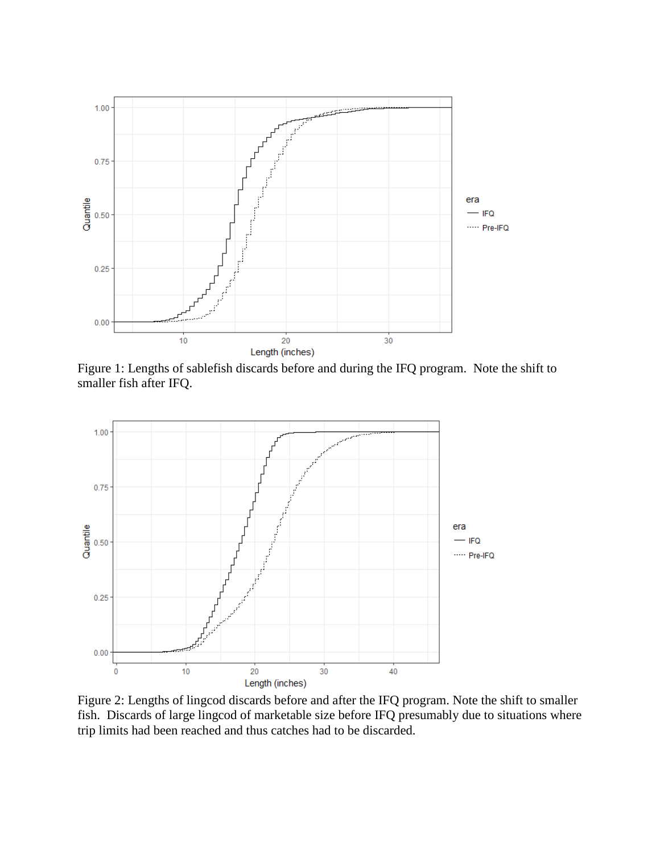

<span id="page-2-0"></span>Figure 1: Lengths of sablefish discards before and during the IFQ program. Note the shift to smaller fish after IFQ.



<span id="page-2-1"></span>Figure 2: Lengths of lingcod discards before and after the IFQ program. Note the shift to smaller fish. Discards of large lingcod of marketable size before IFQ presumably due to situations where trip limits had been reached and thus catches had to be discarded.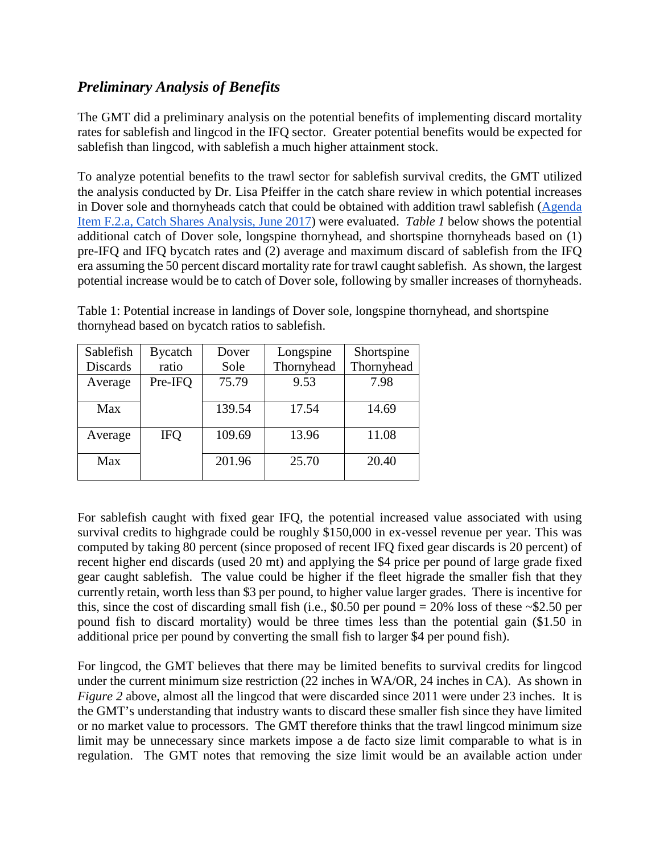## *Preliminary Analysis of Benefits*

The GMT did a preliminary analysis on the potential benefits of implementing discard mortality rates for sablefish and lingcod in the IFQ sector. Greater potential benefits would be expected for sablefish than lingcod, with sablefish a much higher attainment stock.

To analyze potential benefits to the trawl sector for sablefish survival credits, the GMT utilized the analysis conducted by Dr. Lisa Pfeiffer in the catch share review in which potential increases in Dover sole and thornyheads catch that could be obtained with addition trawl sablefish [\(Agenda](http://www.pcouncil.org/wp-content/uploads/2017/05/F2a_CatchShareAnalystsReport_FullReport_ElectricOnly_Jun2017BB.pdf)  [Item F.2.a, Catch Shares Analysis, June 2017\)](http://www.pcouncil.org/wp-content/uploads/2017/05/F2a_CatchShareAnalystsReport_FullReport_ElectricOnly_Jun2017BB.pdf) were evaluated. *[Table 1](#page-3-0)* below shows the potential additional catch of Dover sole, longspine thornyhead, and shortspine thornyheads based on (1) pre-IFQ and IFQ bycatch rates and (2) average and maximum discard of sablefish from the IFQ era assuming the 50 percent discard mortality rate for trawl caught sablefish. As shown, the largest potential increase would be to catch of Dover sole, following by smaller increases of thornyheads.

| Sablefish       | <b>Bycatch</b> | Dover  | Longspine  |            |
|-----------------|----------------|--------|------------|------------|
| <b>Discards</b> | ratio          | Sole   | Thornyhead | Thornyhead |
| Average         | Pre-IFO        | 75.79  | 9.53       | 7.98       |
| Max             |                | 139.54 | 17.54      | 14.69      |
| Average         | <b>IFO</b>     | 109.69 | 13.96      | 11.08      |
| Max             |                | 201.96 | 25.70      | 20.40      |

<span id="page-3-0"></span>Table 1: Potential increase in landings of Dover sole, longspine thornyhead, and shortspine thornyhead based on bycatch ratios to sablefish.

For sablefish caught with fixed gear IFQ, the potential increased value associated with using survival credits to highgrade could be roughly \$150,000 in ex-vessel revenue per year. This was computed by taking 80 percent (since proposed of recent IFQ fixed gear discards is 20 percent) of recent higher end discards (used 20 mt) and applying the \$4 price per pound of large grade fixed gear caught sablefish. The value could be higher if the fleet higrade the smaller fish that they currently retain, worth less than \$3 per pound, to higher value larger grades. There is incentive for this, since the cost of discarding small fish (i.e.,  $$0.50$  per pound = 20% loss of these ~\$2.50 per pound fish to discard mortality) would be three times less than the potential gain (\$1.50 in additional price per pound by converting the small fish to larger \$4 per pound fish).

For lingcod, the GMT believes that there may be limited benefits to survival credits for lingcod under the current minimum size restriction (22 inches in WA/OR, 24 inches in CA). As shown in *[Figure 2](#page-2-1)* above, almost all the lingcod that were discarded since 2011 were under 23 inches. It is the GMT's understanding that industry wants to discard these smaller fish since they have limited or no market value to processors. The GMT therefore thinks that the trawl lingcod minimum size limit may be unnecessary since markets impose a de facto size limit comparable to what is in regulation. The GMT notes that removing the size limit would be an available action under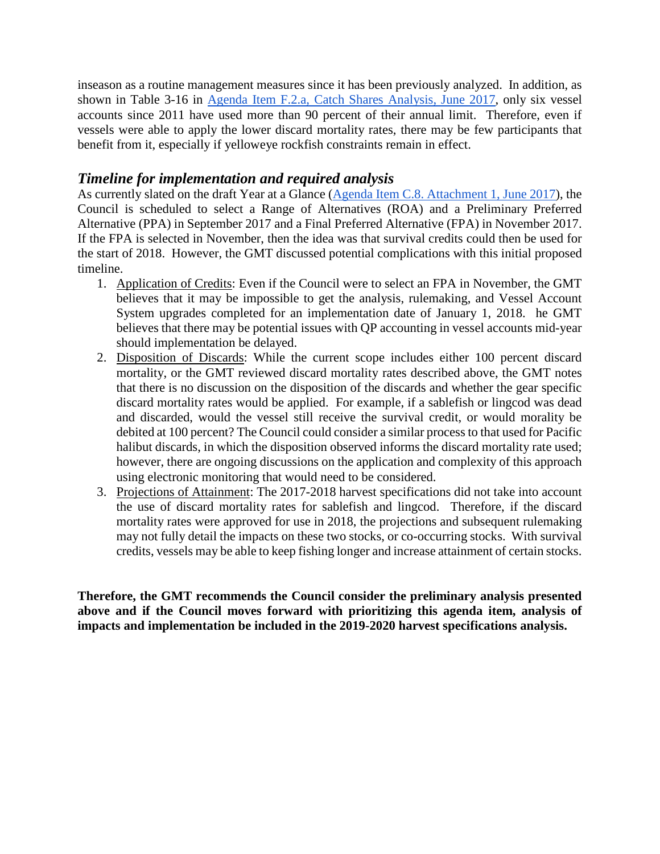inseason as a routine management measures since it has been previously analyzed. In addition, as shown in Table 3-16 in [Agenda Item F.2.a, Catch Shares Analysis,](http://www.pcouncil.org/wp-content/uploads/2017/05/F2a_CatchShareAnalystsReport_FullReport_ElectricOnly_Jun2017BB.pdf) June 2017, only six vessel accounts since 2011 have used more than 90 percent of their annual limit. Therefore, even if vessels were able to apply the lower discard mortality rates, there may be few participants that benefit from it, especially if yelloweye rockfish constraints remain in effect.

### *Timeline for implementation and required analysis*

As currently slated on the draft Year at a Glance [\(Agenda Item C.8. Attachment 1, June 2017\)](http://www.pcouncil.org/wp-content/uploads/2017/05/C8_Att1_YAG_JUNE2017BB.pdf), the Council is scheduled to select a Range of Alternatives (ROA) and a Preliminary Preferred Alternative (PPA) in September 2017 and a Final Preferred Alternative (FPA) in November 2017. If the FPA is selected in November, then the idea was that survival credits could then be used for the start of 2018. However, the GMT discussed potential complications with this initial proposed timeline.

- 1. Application of Credits: Even if the Council were to select an FPA in November, the GMT believes that it may be impossible to get the analysis, rulemaking, and Vessel Account System upgrades completed for an implementation date of January 1, 2018. he GMT believes that there may be potential issues with QP accounting in vessel accounts mid-year should implementation be delayed.
- 2. Disposition of Discards: While the current scope includes either 100 percent discard mortality, or the GMT reviewed discard mortality rates described above, the GMT notes that there is no discussion on the disposition of the discards and whether the gear specific discard mortality rates would be applied. For example, if a sablefish or lingcod was dead and discarded, would the vessel still receive the survival credit, or would morality be debited at 100 percent? The Council could consider a similar process to that used for Pacific halibut discards, in which the disposition observed informs the discard mortality rate used; however, there are ongoing discussions on the application and complexity of this approach using electronic monitoring that would need to be considered.
- 3. Projections of Attainment: The 2017-2018 harvest specifications did not take into account the use of discard mortality rates for sablefish and lingcod. Therefore, if the discard mortality rates were approved for use in 2018, the projections and subsequent rulemaking may not fully detail the impacts on these two stocks, or co-occurring stocks. With survival credits, vessels may be able to keep fishing longer and increase attainment of certain stocks.

**Therefore, the GMT recommends the Council consider the preliminary analysis presented above and if the Council moves forward with prioritizing this agenda item, analysis of impacts and implementation be included in the 2019-2020 harvest specifications analysis.**